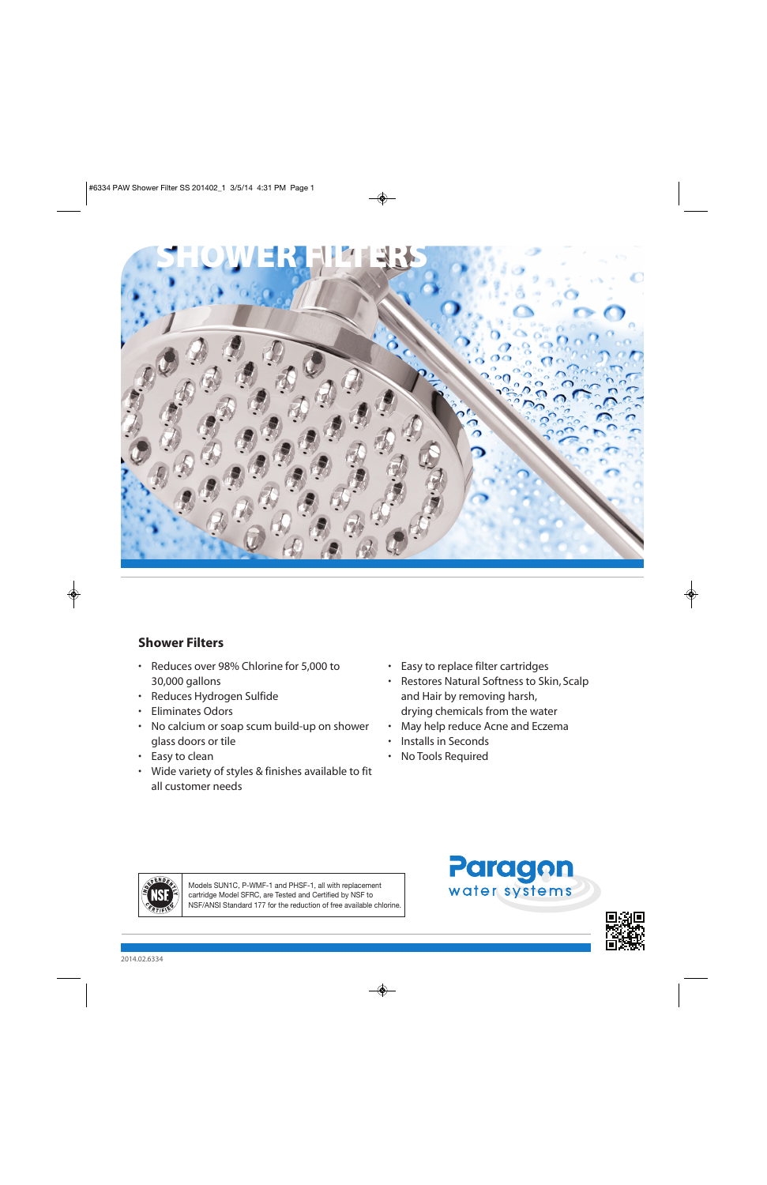

# **Shower Filters**

- Reduces over 98% Chlorine for 5,000 to 30,000 gallons
- Reduces Hydrogen Sulfide
- Eliminates Odors
- No calcium or soap scum build-up on shower glass doors or tile
- Easy to clean
- Wide variety of styles & finishes available to fit all customer needs
- Easy to replace filter cartridges
- Restores Natural Softness to Skin, Scalp and Hair by removing harsh, drying chemicals from the water
- May help reduce Acne and Eczema
- Installs in Seconds
- No Tools Required



Models SUN1C, P-WMF-1 and PHSF-1, all with replacement cartridge Model SFRC, are Tested and Certified by NSF to NSF/ANSI Standard 177 for the reduction of free available chlorine.